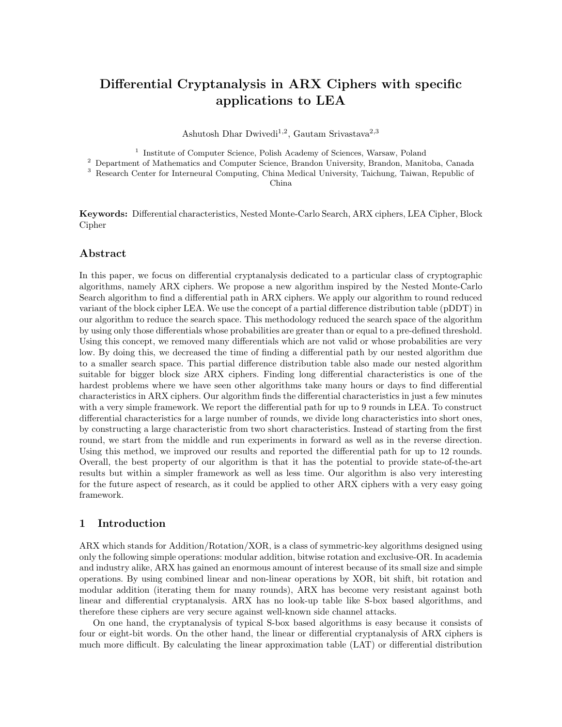# Differential Cryptanalysis in ARX Ciphers with specific applications to LEA

Ashutosh Dhar Dwivedi<sup>1,2</sup>, Gautam Srivastava<sup>2,3</sup>

<sup>1</sup> Institute of Computer Science, Polish Academy of Sciences, Warsaw, Poland

<sup>2</sup> Department of Mathematics and Computer Science, Brandon University, Brandon, Manitoba, Canada

<sup>3</sup> Research Center for Interneural Computing, China Medical University, Taichung, Taiwan, Republic of

China

Keywords: Differential characteristics, Nested Monte-Carlo Search, ARX ciphers, LEA Cipher, Block Cipher

#### Abstract

In this paper, we focus on differential cryptanalysis dedicated to a particular class of cryptographic algorithms, namely ARX ciphers. We propose a new algorithm inspired by the Nested Monte-Carlo Search algorithm to find a differential path in ARX ciphers. We apply our algorithm to round reduced variant of the block cipher LEA. We use the concept of a partial difference distribution table (pDDT) in our algorithm to reduce the search space. This methodology reduced the search space of the algorithm by using only those differentials whose probabilities are greater than or equal to a pre-defined threshold. Using this concept, we removed many differentials which are not valid or whose probabilities are very low. By doing this, we decreased the time of finding a differential path by our nested algorithm due to a smaller search space. This partial difference distribution table also made our nested algorithm suitable for bigger block size ARX ciphers. Finding long differential characteristics is one of the hardest problems where we have seen other algorithms take many hours or days to find differential characteristics in ARX ciphers. Our algorithm finds the differential characteristics in just a few minutes with a very simple framework. We report the differential path for up to 9 rounds in LEA. To construct differential characteristics for a large number of rounds, we divide long characteristics into short ones, by constructing a large characteristic from two short characteristics. Instead of starting from the first round, we start from the middle and run experiments in forward as well as in the reverse direction. Using this method, we improved our results and reported the differential path for up to 12 rounds. Overall, the best property of our algorithm is that it has the potential to provide state-of-the-art results but within a simpler framework as well as less time. Our algorithm is also very interesting for the future aspect of research, as it could be applied to other ARX ciphers with a very easy going framework.

#### 1 Introduction

ARX which stands for Addition/Rotation/XOR, is a class of symmetric-key algorithms designed using only the following simple operations: modular addition, bitwise rotation and exclusive-OR. In academia and industry alike, ARX has gained an enormous amount of interest because of its small size and simple operations. By using combined linear and non-linear operations by XOR, bit shift, bit rotation and modular addition (iterating them for many rounds), ARX has become very resistant against both linear and differential cryptanalysis. ARX has no look-up table like S-box based algorithms, and therefore these ciphers are very secure against well-known side channel attacks.

On one hand, the cryptanalysis of typical S-box based algorithms is easy because it consists of four or eight-bit words. On the other hand, the linear or differential cryptanalysis of ARX ciphers is much more difficult. By calculating the linear approximation table (LAT) or differential distribution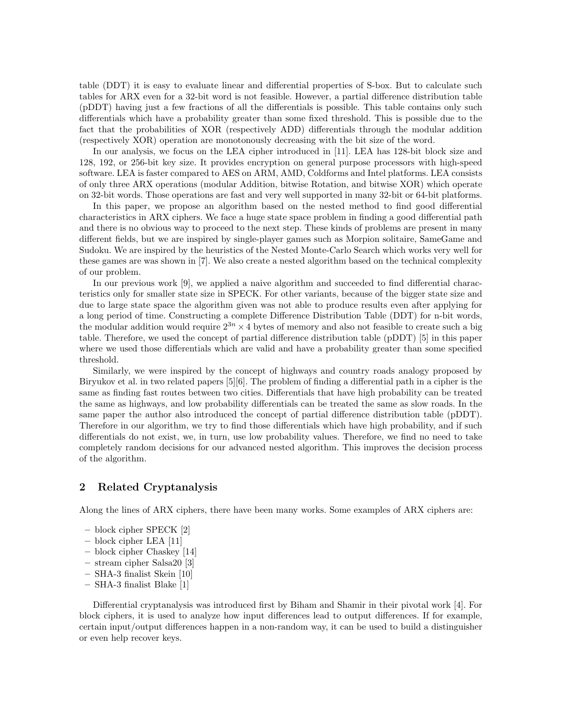table (DDT) it is easy to evaluate linear and differential properties of S-box. But to calculate such tables for ARX even for a 32-bit word is not feasible. However, a partial difference distribution table (pDDT) having just a few fractions of all the differentials is possible. This table contains only such differentials which have a probability greater than some fixed threshold. This is possible due to the fact that the probabilities of XOR (respectively ADD) differentials through the modular addition (respectively XOR) operation are monotonously decreasing with the bit size of the word.

In our analysis, we focus on the LEA cipher introduced in [11]. LEA has 128-bit block size and 128, 192, or 256-bit key size. It provides encryption on general purpose processors with high-speed software. LEA is faster compared to AES on ARM, AMD, Coldforms and Intel platforms. LEA consists of only three ARX operations (modular Addition, bitwise Rotation, and bitwise XOR) which operate on 32-bit words. Those operations are fast and very well supported in many 32-bit or 64-bit platforms.

In this paper, we propose an algorithm based on the nested method to find good differential characteristics in ARX ciphers. We face a huge state space problem in finding a good differential path and there is no obvious way to proceed to the next step. These kinds of problems are present in many different fields, but we are inspired by single-player games such as Morpion solitaire, SameGame and Sudoku. We are inspired by the heuristics of the Nested Monte-Carlo Search which works very well for these games are was shown in [7]. We also create a nested algorithm based on the technical complexity of our problem.

In our previous work [9], we applied a naive algorithm and succeeded to find differential characteristics only for smaller state size in SPECK. For other variants, because of the bigger state size and due to large state space the algorithm given was not able to produce results even after applying for a long period of time. Constructing a complete Difference Distribution Table (DDT) for n-bit words, the modular addition would require  $2^{3n} \times 4$  bytes of memory and also not feasible to create such a big table. Therefore, we used the concept of partial difference distribution table (pDDT) [5] in this paper where we used those differentials which are valid and have a probability greater than some specified threshold.

Similarly, we were inspired by the concept of highways and country roads analogy proposed by Biryukov et al. in two related papers [5][6]. The problem of finding a differential path in a cipher is the same as finding fast routes between two cities. Differentials that have high probability can be treated the same as highways, and low probability differentials can be treated the same as slow roads. In the same paper the author also introduced the concept of partial difference distribution table (pDDT). Therefore in our algorithm, we try to find those differentials which have high probability, and if such differentials do not exist, we, in turn, use low probability values. Therefore, we find no need to take completely random decisions for our advanced nested algorithm. This improves the decision process of the algorithm.

### 2 Related Cryptanalysis

Along the lines of ARX ciphers, there have been many works. Some examples of ARX ciphers are:

- block cipher SPECK [2]
- block cipher LEA [11]
- block cipher Chaskey [14]
- stream cipher Salsa20 [3]
- SHA-3 finalist Skein [10]
- SHA-3 finalist Blake [1]

Differential cryptanalysis was introduced first by Biham and Shamir in their pivotal work [4]. For block ciphers, it is used to analyze how input differences lead to output differences. If for example, certain input/output differences happen in a non-random way, it can be used to build a distinguisher or even help recover keys.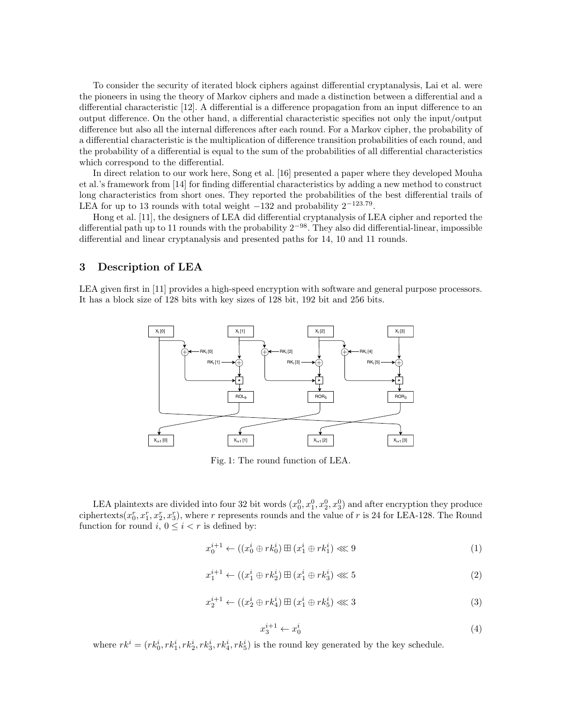To consider the security of iterated block ciphers against differential cryptanalysis, Lai et al. were the pioneers in using the theory of Markov ciphers and made a distinction between a differential and a differential characteristic [12]. A differential is a difference propagation from an input difference to an output difference. On the other hand, a differential characteristic specifies not only the input/output difference but also all the internal differences after each round. For a Markov cipher, the probability of a differential characteristic is the multiplication of difference transition probabilities of each round, and the probability of a differential is equal to the sum of the probabilities of all differential characteristics which correspond to the differential.

In direct relation to our work here, Song et al. [16] presented a paper where they developed Mouha et al.'s framework from [14] for finding differential characteristics by adding a new method to construct long characteristics from short ones. They reported the probabilities of the best differential trails of LEA for up to 13 rounds with total weight  $-132$  and probability  $2^{-123.79}$ .

Hong et al. [11], the designers of LEA did differential cryptanalysis of LEA cipher and reported the differential path up to 11 rounds with the probability 2−98. They also did differential-linear, impossible differential and linear cryptanalysis and presented paths for 14, 10 and 11 rounds.

# 3 Description of LEA

LEA given first in [11] provides a high-speed encryption with software and general purpose processors. It has a block size of 128 bits with key sizes of 128 bit, 192 bit and 256 bits.



Fig. 1: The round function of LEA.

LEA plaintexts are divided into four 32 bit words  $(x_0^0, x_1^0, x_2^0, x_3^0)$  and after encryption they produce ciphertexts $(x_0^r, x_1^r, x_2^r, x_3^r)$ , where r represents rounds and the value of r is 24 for LEA-128. The Round function for round  $i, 0 \leq i < r$  is defined by:

$$
x_0^{i+1} \leftarrow ((x_0^i \oplus rk_0^i) \boxplus (x_1^i \oplus rk_1^i) \ll 9 \tag{1}
$$

$$
x_1^{i+1} \leftarrow ((x_1^i \oplus rk_2^i) \boxplus (x_1^i \oplus rk_3^i) \lll 5 \tag{2}
$$

$$
x_2^{i+1} \leftarrow ((x_2^i \oplus r k_4^i) \boxplus (x_1^i \oplus r k_5^i) \ll 3 \tag{3}
$$

$$
x_3^{i+1} \leftarrow x_0^i \tag{4}
$$

where  $rk^i = (rk_0^i, rk_1^i, rk_2^i, rk_3^i, rk_4^i, rk_5^i)$  is the round key generated by the key schedule.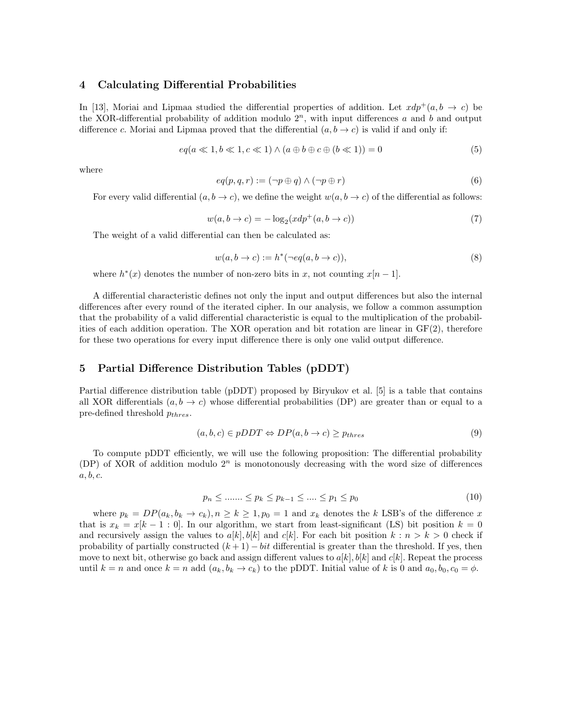#### 4 Calculating Differential Probabilities

In [13], Moriai and Lipmaa studied the differential properties of addition. Let  $xdp^+(a, b \rightarrow c)$  be the XOR-differential probability of addition modulo  $2<sup>n</sup>$ , with input differences a and b and output difference c. Moriai and Lipmaa proved that the differential  $(a, b \rightarrow c)$  is valid if and only if:

$$
eq(a \ll 1, b \ll 1, c \ll 1) \land (a \oplus b \oplus c \oplus (b \ll 1)) = 0 \tag{5}
$$

where

$$
eq(p, q, r) := (\neg p \oplus q) \land (\neg p \oplus r) \tag{6}
$$

For every valid differential  $(a, b \to c)$ , we define the weight  $w(a, b \to c)$  of the differential as follows:

$$
w(a, b \to c) = -\log_2(xdp^+(a, b \to c))
$$
\n<sup>(7)</sup>

The weight of a valid differential can then be calculated as:

$$
w(a, b \to c) := h^*(\neg eq(a, b \to c)),\tag{8}
$$

where  $h^*(x)$  denotes the number of non-zero bits in x, not counting  $x[n-1]$ .

A differential characteristic defines not only the input and output differences but also the internal differences after every round of the iterated cipher. In our analysis, we follow a common assumption that the probability of a valid differential characteristic is equal to the multiplication of the probabilities of each addition operation. The XOR operation and bit rotation are linear in  $GF(2)$ , therefore for these two operations for every input difference there is only one valid output difference.

### 5 Partial Difference Distribution Tables (pDDT)

Partial difference distribution table (pDDT) proposed by Biryukov et al. [5] is a table that contains all XOR differentials  $(a, b \to c)$  whose differential probabilities (DP) are greater than or equal to a pre-defined threshold  $p_{thres}$ .

$$
(a, b, c) \in pDDT \Leftrightarrow DP(a, b \to c) \geq p_{thres}
$$
\n<sup>(9)</sup>

To compute pDDT efficiently, we will use the following proposition: The differential probability (DP) of XOR of addition modulo  $2^n$  is monotonously decreasing with the word size of differences  $a, b, c.$ 

$$
p_n \le \dots \le p_k \le p_{k-1} \le \dots \le p_1 \le p_0 \tag{10}
$$

where  $p_k = DP(a_k, b_k \to c_k), n \geq k \geq 1, p_0 = 1$  and  $x_k$  denotes the k LSB's of the difference x that is  $x_k = x[k-1:0]$ . In our algorithm, we start from least-significant (LS) bit position  $k = 0$ and recursively assign the values to  $a[k], b[k]$  and  $c[k]$ . For each bit position  $k : n > k > 0$  check if probability of partially constructed  $(k + 1) - bit$  differential is greater than the threshold. If yes, then move to next bit, otherwise go back and assign different values to  $a[k], b[k]$  and  $c[k]$ . Repeat the process until  $k = n$  and once  $k = n$  add  $(a_k, b_k \to c_k)$  to the pDDT. Initial value of k is 0 and  $a_0, b_0, c_0 = \phi$ .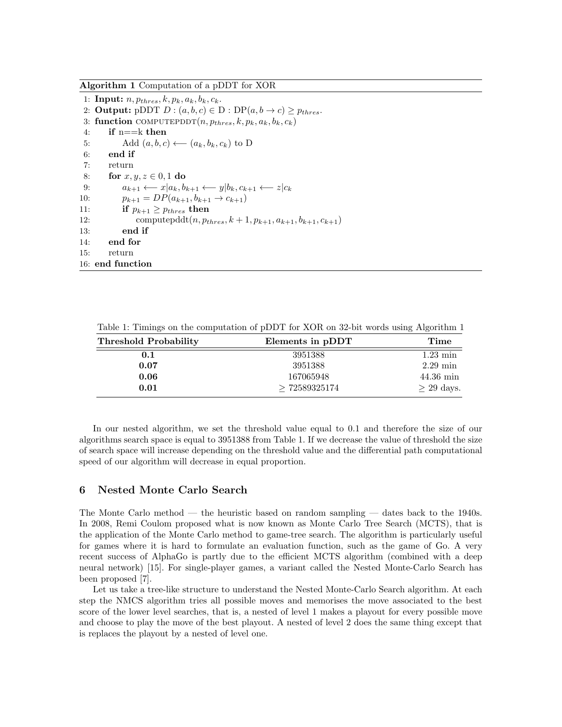Algorithm 1 Computation of a pDDT for XOR

1: Input:  $n, p_{thres}, k, p_k, a_k, b_k, c_k$ . 2: **Output:** pDDT  $D$  :  $(a, b, c) \in D$  :  $DP(a, b \rightarrow c) \geq p_{thres}$ . 3: function COMPUTEPDDT $(n, p_{thres}, k, p_k, a_k, b_k, c_k)$ 4: if  $n = k$  then 5: Add  $(a, b, c) \longleftarrow (a_k, b_k, c_k)$  to D 6: end if 7: return 8: for  $x, y, z \in [0, 1]$  do 9:  $a_{k+1} \leftarrow x | a_k, b_{k+1} \leftarrow y | b_k, c_{k+1} \leftarrow z | c_k$ 10:  $p_{k+1} = DP(a_{k+1}, b_{k+1} \rightarrow c_{k+1})$ 11: if  $p_{k+1} \geq p_{thres}$  then 12: computepddt $(n, p_{thres}, k+1, p_{k+1}, a_{k+1}, b_{k+1}, c_{k+1})$ 13: end if 14: end for 15: return 16: end function

Table 1: Timings on the computation of pDDT for XOR on 32-bit words using Algorithm 1

| <b>Threshold Probability</b> | Elements in pDDT | Time                |
|------------------------------|------------------|---------------------|
| 0.1                          | 3951388          | $1.23 \text{ min}$  |
| 0.07                         | 3951388          | $2.29 \text{ min}$  |
| 0.06                         | 167065948        | $44.36 \text{ min}$ |
| 0.01                         | >72589325174     | $\geq$ 29 days.     |

In our nested algorithm, we set the threshold value equal to 0.1 and therefore the size of our algorithms search space is equal to 3951388 from Table 1. If we decrease the value of threshold the size of search space will increase depending on the threshold value and the differential path computational speed of our algorithm will decrease in equal proportion.

# 6 Nested Monte Carlo Search

The Monte Carlo method — the heuristic based on random sampling — dates back to the 1940s. In 2008, Remi Coulom proposed what is now known as Monte Carlo Tree Search (MCTS), that is the application of the Monte Carlo method to game-tree search. The algorithm is particularly useful for games where it is hard to formulate an evaluation function, such as the game of Go. A very recent success of AlphaGo is partly due to the efficient MCTS algorithm (combined with a deep neural network) [15]. For single-player games, a variant called the Nested Monte-Carlo Search has been proposed [7].

Let us take a tree-like structure to understand the Nested Monte-Carlo Search algorithm. At each step the NMCS algorithm tries all possible moves and memorises the move associated to the best score of the lower level searches, that is, a nested of level 1 makes a playout for every possible move and choose to play the move of the best playout. A nested of level 2 does the same thing except that is replaces the playout by a nested of level one.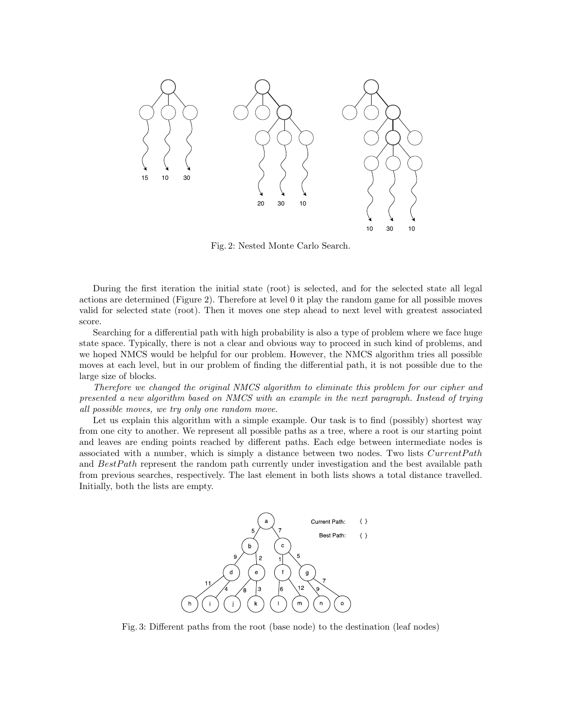

Fig. 2: Nested Monte Carlo Search.

During the first iteration the initial state (root) is selected, and for the selected state all legal actions are determined (Figure 2). Therefore at level 0 it play the random game for all possible moves valid for selected state (root). Then it moves one step ahead to next level with greatest associated score.

Searching for a differential path with high probability is also a type of problem where we face huge state space. Typically, there is not a clear and obvious way to proceed in such kind of problems, and we hoped NMCS would be helpful for our problem. However, the NMCS algorithm tries all possible moves at each level, but in our problem of finding the differential path, it is not possible due to the large size of blocks.

Therefore we changed the original NMCS algorithm to eliminate this problem for our cipher and presented a new algorithm based on NMCS with an example in the next paragraph. Instead of trying all possible moves, we try only one random move.

Let us explain this algorithm with a simple example. Our task is to find (possibly) shortest way from one city to another. We represent all possible paths as a tree, where a root is our starting point and leaves are ending points reached by different paths. Each edge between intermediate nodes is associated with a number, which is simply a distance between two nodes. Two lists  $CurrentPath$ and BestPath represent the random path currently under investigation and the best available path from previous searches, respectively. The last element in both lists shows a total distance travelled. Initially, both the lists are empty.



Fig. 3: Different paths from the root (base node) to the destination (leaf nodes)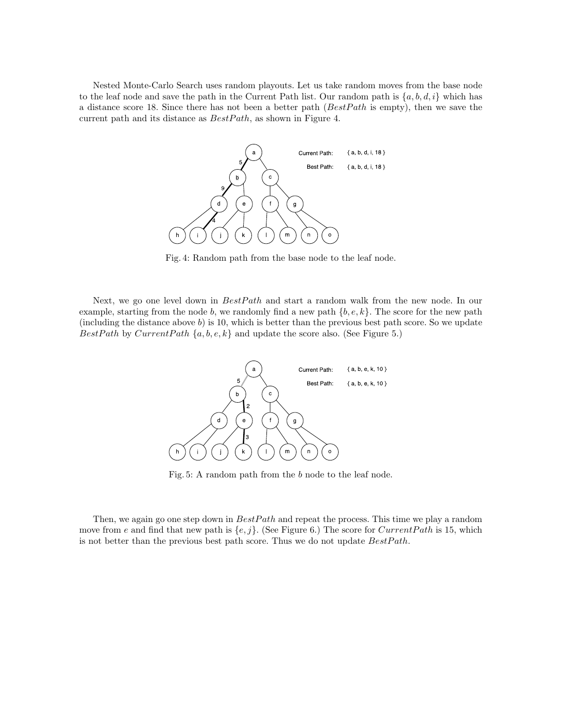Nested Monte-Carlo Search uses random playouts. Let us take random moves from the base node to the leaf node and save the path in the Current Path list. Our random path is  $\{a, b, d, i\}$  which has a distance score 18. Since there has not been a better path  $(BestPath$  is empty), then we save the current path and its distance as  $BestPath$ , as shown in Figure 4.



Fig. 4: Random path from the base node to the leaf node.

Next, we go one level down in  $BestPath$  and start a random walk from the new node. In our example, starting from the node b, we randomly find a new path  $\{b, e, k\}$ . The score for the new path (including the distance above  $b$ ) is 10, which is better than the previous best path score. So we update BestPath by CurrentPath  $\{a, b, e, k\}$  and update the score also. (See Figure 5.)



Fig. 5: A random path from the b node to the leaf node.

Then, we again go one step down in  $BestPath$  and repeat the process. This time we play a random move from e and find that new path is  $\{e, j\}$ . (See Figure 6.) The score for *CurrentPath* is 15, which is not better than the previous best path score. Thus we do not update  $BestPath$ .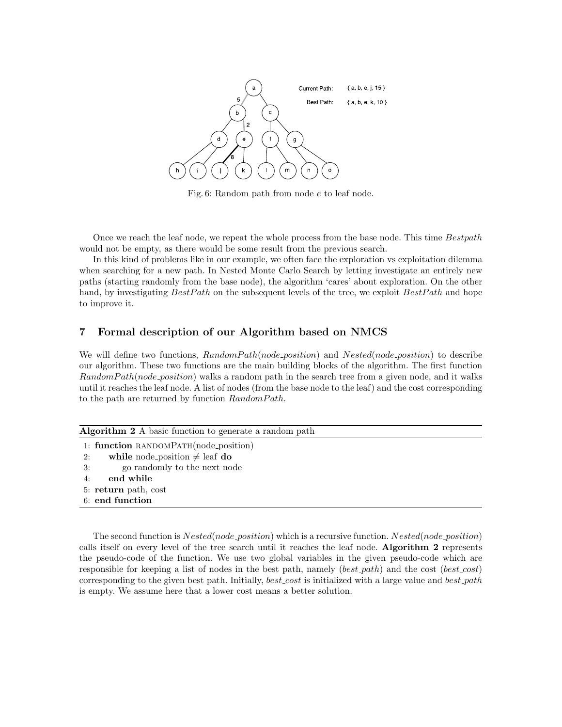

Fig. 6: Random path from node e to leaf node.

Once we reach the leaf node, we repeat the whole process from the base node. This time Bestpath would not be empty, as there would be some result from the previous search.

In this kind of problems like in our example, we often face the exploration vs exploitation dilemma when searching for a new path. In Nested Monte Carlo Search by letting investigate an entirely new paths (starting randomly from the base node), the algorithm 'cares' about exploration. On the other hand, by investigating  $BestPath$  on the subsequent levels of the tree, we exploit  $BestPath$  and hope to improve it.

# 7 Formal description of our Algorithm based on NMCS

We will define two functions,  $RandomPath(node\_position)$  and  $Nested(node\_position)$  to describe our algorithm. These two functions are the main building blocks of the algorithm. The first function RandomPath(node\_position) walks a random path in the search tree from a given node, and it walks until it reaches the leaf node. A list of nodes (from the base node to the leaf) and the cost corresponding to the path are returned by function  $RandomPath$ .

| <b>Algorithm 2</b> A basic function to generate a random path |  |  |  |
|---------------------------------------------------------------|--|--|--|
| 1: function RANDOMPATH(node_position)                         |  |  |  |
| while node position $\neq$ leaf do<br>2:                      |  |  |  |
| go randomly to the next node<br>3:                            |  |  |  |
| end while<br>4:                                               |  |  |  |
| 5: return path, cost                                          |  |  |  |
| 6: end function                                               |  |  |  |
|                                                               |  |  |  |

The second function is  $Nested(node\_position)$  which is a recursive function.  $Nested(node\_position)$ calls itself on every level of the tree search until it reaches the leaf node. Algorithm 2 represents the pseudo-code of the function. We use two global variables in the given pseudo-code which are responsible for keeping a list of nodes in the best path, namely  $(best.path)$  and the cost  $(best-cost)$ corresponding to the given best path. Initially,  $best\_cost$  is initialized with a large value and  $best.path$ is empty. We assume here that a lower cost means a better solution.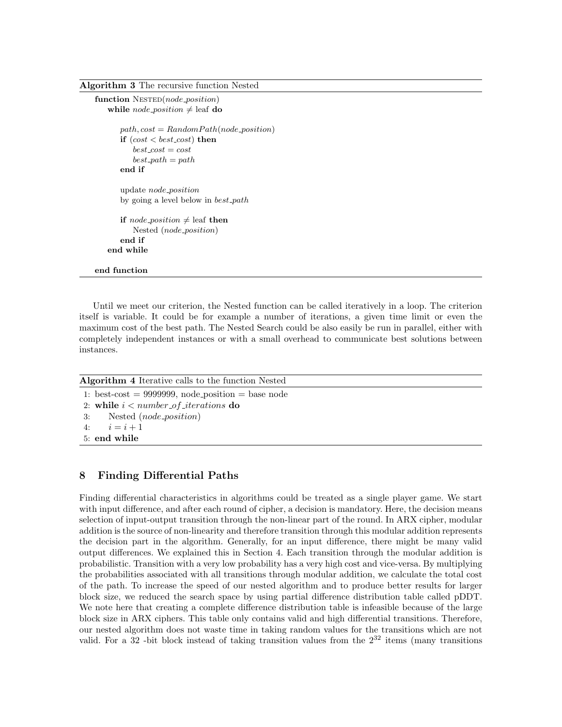Algorithm 3 The recursive function Nested

```
function N\text{ESTED}(node\_position)while node_position \neq leaf do
   path, cost = RandomPath(node\_position)if (cost < best\_cost) then
       best\_cost = costbest\_path = pathend if
   update node position
   by going a level below in best\_pathif node_position \neq leaf then
       Nested (node position)
   end if
end while
```
Until we meet our criterion, the Nested function can be called iteratively in a loop. The criterion itself is variable. It could be for example a number of iterations, a given time limit or even the maximum cost of the best path. The Nested Search could be also easily be run in parallel, either with completely independent instances or with a small overhead to communicate best solutions between instances.

Algorithm 4 Iterative calls to the function Nested

1: best-cost  $= 9999999$ , node\_position  $=$  base node 2: while  $i < number_of_iterations$  do 3: Nested (node position)

4:  $i = i + 1$ 

end function

```
5: end while
```
# 8 Finding Differential Paths

Finding differential characteristics in algorithms could be treated as a single player game. We start with input difference, and after each round of cipher, a decision is mandatory. Here, the decision means selection of input-output transition through the non-linear part of the round. In ARX cipher, modular addition is the source of non-linearity and therefore transition through this modular addition represents the decision part in the algorithm. Generally, for an input difference, there might be many valid output differences. We explained this in Section 4. Each transition through the modular addition is probabilistic. Transition with a very low probability has a very high cost and vice-versa. By multiplying the probabilities associated with all transitions through modular addition, we calculate the total cost of the path. To increase the speed of our nested algorithm and to produce better results for larger block size, we reduced the search space by using partial difference distribution table called pDDT. We note here that creating a complete difference distribution table is infeasible because of the large block size in ARX ciphers. This table only contains valid and high differential transitions. Therefore, our nested algorithm does not waste time in taking random values for the transitions which are not valid. For a 32-bit block instead of taking transition values from the  $2^{32}$  items (many transitions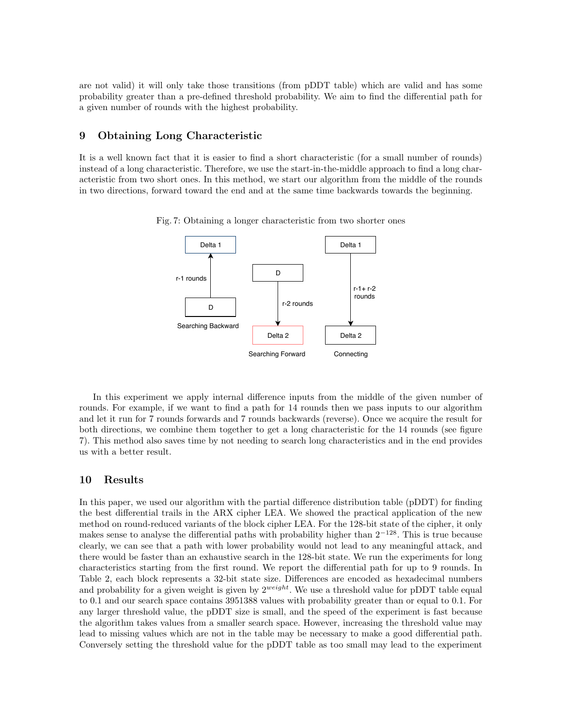are not valid) it will only take those transitions (from pDDT table) which are valid and has some probability greater than a pre-defined threshold probability. We aim to find the differential path for a given number of rounds with the highest probability.

# 9 Obtaining Long Characteristic

It is a well known fact that it is easier to find a short characteristic (for a small number of rounds) instead of a long characteristic. Therefore, we use the start-in-the-middle approach to find a long characteristic from two short ones. In this method, we start our algorithm from the middle of the rounds in two directions, forward toward the end and at the same time backwards towards the beginning.



Fig. 7: Obtaining a longer characteristic from two shorter ones

In this experiment we apply internal difference inputs from the middle of the given number of rounds. For example, if we want to find a path for 14 rounds then we pass inputs to our algorithm and let it run for 7 rounds forwards and 7 rounds backwards (reverse). Once we acquire the result for both directions, we combine them together to get a long characteristic for the 14 rounds (see figure 7). This method also saves time by not needing to search long characteristics and in the end provides us with a better result.

### 10 Results

In this paper, we used our algorithm with the partial difference distribution table (pDDT) for finding the best differential trails in the ARX cipher LEA. We showed the practical application of the new method on round-reduced variants of the block cipher LEA. For the 128-bit state of the cipher, it only makes sense to analyse the differential paths with probability higher than  $2^{-128}$ . This is true because clearly, we can see that a path with lower probability would not lead to any meaningful attack, and there would be faster than an exhaustive search in the 128-bit state. We run the experiments for long characteristics starting from the first round. We report the differential path for up to 9 rounds. In Table 2, each block represents a 32-bit state size. Differences are encoded as hexadecimal numbers and probability for a given weight is given by  $2^{weight}$ . We use a threshold value for pDDT table equal to 0.1 and our search space contains 3951388 values with probability greater than or equal to 0.1. For any larger threshold value, the pDDT size is small, and the speed of the experiment is fast because the algorithm takes values from a smaller search space. However, increasing the threshold value may lead to missing values which are not in the table may be necessary to make a good differential path. Conversely setting the threshold value for the pDDT table as too small may lead to the experiment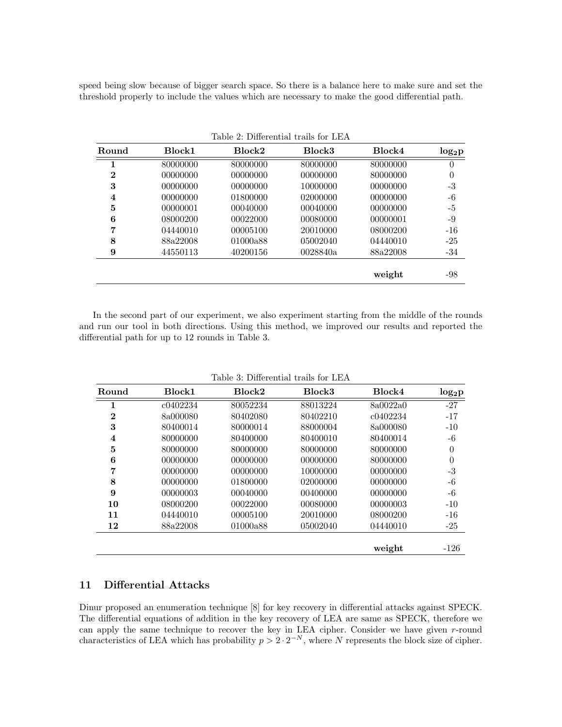speed being slow because of bigger search space. So there is a balance here to make sure and set the threshold properly to include the values which are necessary to make the good differential path.

| Round    | Block1   | Block2   | Block3   | Block4   | $log_2p$ |
|----------|----------|----------|----------|----------|----------|
| 1        | 80000000 | 80000000 | 80000000 | 80000000 | $\theta$ |
| $\bf{2}$ | 00000000 | 00000000 | 00000000 | 80000000 | $\theta$ |
| 3        | 00000000 | 00000000 | 10000000 | 00000000 | $-3$     |
| 4        | 00000000 | 01800000 | 02000000 | 00000000 | -6       |
| 5        | 00000001 | 00040000 | 00040000 | 00000000 | -5       |
| 6        | 08000200 | 00022000 | 00080000 | 00000001 | -9       |
| 7        | 04440010 | 00005100 | 20010000 | 08000200 | $-16$    |
| 8        | 88a22008 | 01000a88 | 05002040 | 04440010 | $-25$    |
| 9        | 44550113 | 40200156 | 0028840a | 88a22008 | $-34$    |
|          |          |          |          | weight   | -98      |

Table 2: Differential trails for LEA

In the second part of our experiment, we also experiment starting from the middle of the rounds and run our tool in both directions. Using this method, we improved our results and reported the differential path for up to 12 rounds in Table 3.

|  | Table 3: Differential trails for LEA |  |  |  |
|--|--------------------------------------|--|--|--|
|--|--------------------------------------|--|--|--|

| Round        | Block1   | Block2   | Block3   | Block4   | $log_2p$ |
|--------------|----------|----------|----------|----------|----------|
| 1            | c0402234 | 80052234 | 88013224 | 8a0022a0 | $-27$    |
| $\mathbf{2}$ | 8a000080 | 80402080 | 80402210 | c0402234 | $-17$    |
| 3            | 80400014 | 80000014 | 88000004 | 8a000080 | $-10$    |
| 4            | 80000000 | 80400000 | 80400010 | 80400014 | -6       |
| 5            | 80000000 | 80000000 | 80000000 | 80000000 | $\theta$ |
| 6            | 00000000 | 00000000 | 00000000 | 80000000 | $\theta$ |
| 7            | 00000000 | 00000000 | 10000000 | 00000000 | $-3$     |
| 8            | 00000000 | 01800000 | 02000000 | 00000000 | $-6$     |
| 9            | 00000003 | 00040000 | 00400000 | 00000000 | $-6$     |
| 10           | 08000200 | 00022000 | 00080000 | 00000003 | $-10$    |
| 11           | 04440010 | 00005100 | 20010000 | 08000200 | $-16$    |
| 12           | 88a22008 | 01000a88 | 05002040 | 04440010 | $-25$    |
|              |          |          |          | weight   | $-126$   |

# 11 Differential Attacks

Dinur proposed an enumeration technique [8] for key recovery in differential attacks against SPECK. The differential equations of addition in the key recovery of LEA are same as SPECK, therefore we can apply the same technique to recover the key in LEA cipher. Consider we have given r-round characteristics of LEA which has probability  $p > 2 \cdot 2^{-N}$ , where N represents the block size of cipher.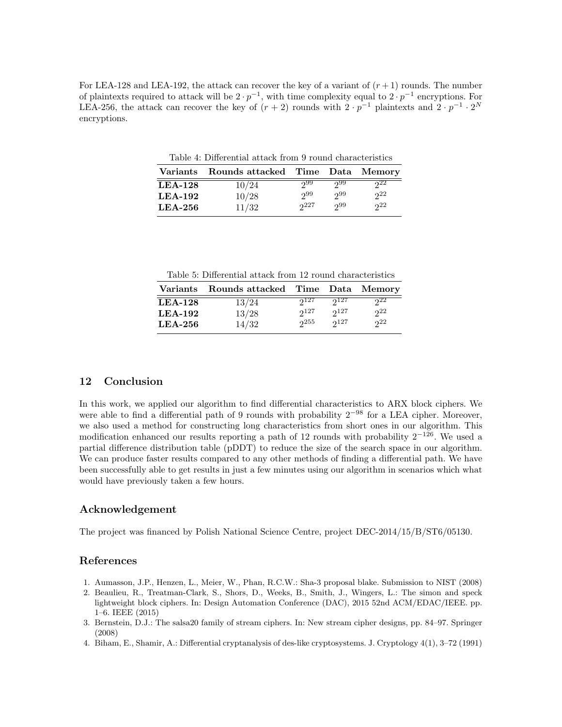For LEA-128 and LEA-192, the attack can recover the key of a variant of  $(r + 1)$  rounds. The number of plaintexts required to attack will be  $2 \cdot p^{-1}$ , with time complexity equal to  $2 \cdot p^{-1}$  encryptions. For LEA-256, the attack can recover the key of  $(r + 2)$  rounds with  $2 \cdot p^{-1}$  plaintexts and  $2 \cdot p^{-1} \cdot 2^N$ encryptions.

Table 4: Differential attack from 9 round characteristics

|           | Variants Rounds attacked Time Data Memory |     |     |     |
|-----------|-------------------------------------------|-----|-----|-----|
| $LEA-128$ | 10/24                                     | 299 | റ99 | 222 |
| $LEA-192$ | 10/28                                     | 299 | 299 | 922 |
| $LEA-256$ | 11/32                                     | 227 | ე99 | 22  |

Table 5: Differential attack from 12 round characteristics

|           | Variants Rounds attacked Time Data Memory |           |           |              |
|-----------|-------------------------------------------|-----------|-----------|--------------|
| $LEA-128$ | 13/24                                     | $2^{127}$ | $2^{127}$ | $22^{\circ}$ |
| $LEA-192$ | 13/28                                     | $2^{127}$ | $2^{127}$ | 22           |
| $LEA-256$ | 14/32                                     | 255       | $2^{127}$ | 22           |

# 12 Conclusion

In this work, we applied our algorithm to find differential characteristics to ARX block ciphers. We were able to find a differential path of 9 rounds with probability 2<sup>−</sup><sup>98</sup> for a LEA cipher. Moreover, we also used a method for constructing long characteristics from short ones in our algorithm. This modification enhanced our results reporting a path of 12 rounds with probability 2<sup>−</sup>126. We used a partial difference distribution table (pDDT) to reduce the size of the search space in our algorithm. We can produce faster results compared to any other methods of finding a differential path. We have been successfully able to get results in just a few minutes using our algorithm in scenarios which what would have previously taken a few hours.

# Acknowledgement

The project was financed by Polish National Science Centre, project DEC-2014/15/B/ST6/05130.

### References

- 1. Aumasson, J.P., Henzen, L., Meier, W., Phan, R.C.W.: Sha-3 proposal blake. Submission to NIST (2008)
- 2. Beaulieu, R., Treatman-Clark, S., Shors, D., Weeks, B., Smith, J., Wingers, L.: The simon and speck lightweight block ciphers. In: Design Automation Conference (DAC), 2015 52nd ACM/EDAC/IEEE. pp. 1–6. IEEE (2015)
- 3. Bernstein, D.J.: The salsa20 family of stream ciphers. In: New stream cipher designs, pp. 84–97. Springer (2008)
- 4. Biham, E., Shamir, A.: Differential cryptanalysis of des-like cryptosystems. J. Cryptology 4(1), 3–72 (1991)